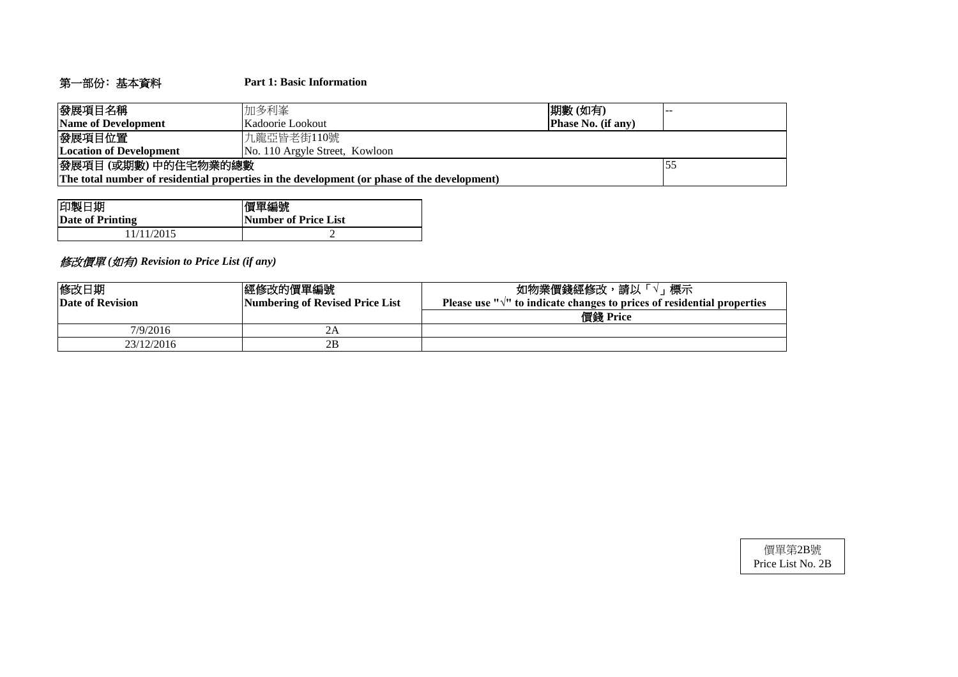# 第一部份﹕基本資料 **Part 1: Basic Information**

| 發展項目名稱                                                                                      | 加多利峯                                          | 期數(如有) |  |  |  |  |  |  |
|---------------------------------------------------------------------------------------------|-----------------------------------------------|--------|--|--|--|--|--|--|
| Name of Development                                                                         | <b>Phase No. (if any)</b><br>Kadoorie Lookout |        |  |  |  |  |  |  |
| 發展項目位置                                                                                      | 九龍亞皆老街110號                                    |        |  |  |  |  |  |  |
| <b>Location of Development</b>                                                              | No. 110 Argyle Street, Kowloon                |        |  |  |  |  |  |  |
| 發展項目(或期數)中的住宅物業的總數                                                                          |                                               |        |  |  |  |  |  |  |
| The total number of residential properties in the development (or phase of the development) |                                               |        |  |  |  |  |  |  |

| 印製日期             | 價單編號                 |
|------------------|----------------------|
| Date of Printing | Number of Price List |
| 1/11/2015        |                      |

# 修改價單 *(*如有*) Revision to Price List (if any)*

| 修改日期<br><b>Date of Revision</b> | 經修改的價單編號<br>Numbering of Revised Price List | 如物業價錢經修改,請以「<br>標示<br>Please use " $\sqrt{ }$ " to indicate changes to prices of residential properties |
|---------------------------------|---------------------------------------------|---------------------------------------------------------------------------------------------------------|
|                                 |                                             | 價錢 Price                                                                                                |
| 7/9/2016                        | 2Α                                          |                                                                                                         |
| 23/12/2016                      | 2B                                          |                                                                                                         |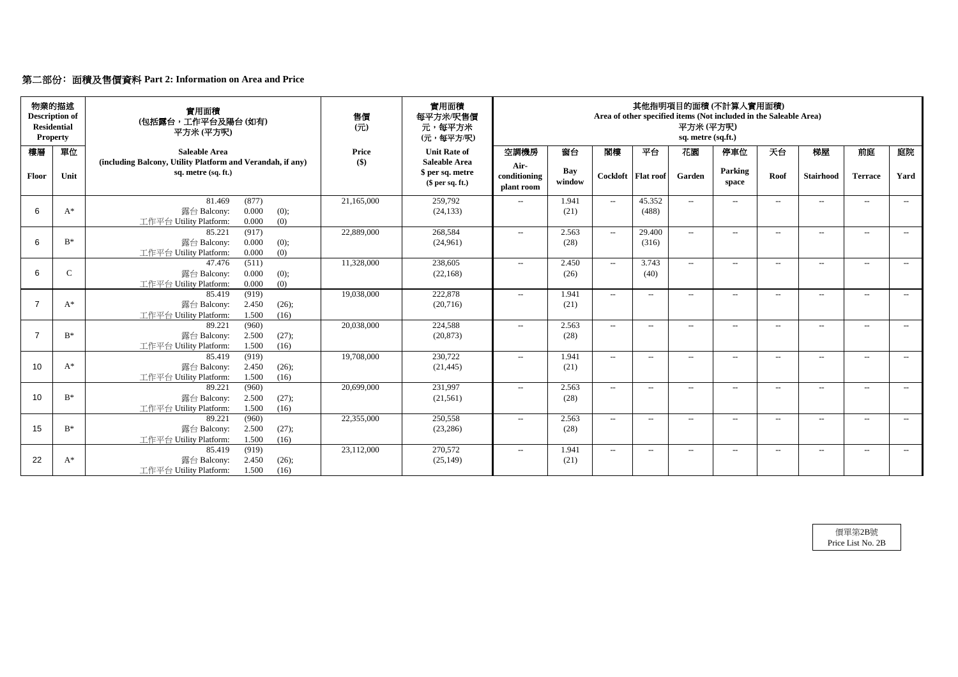# 第二部份﹕面積及售價資料 **Part 2: Information on Area and Price**

| 物業的描述<br><b>Description of</b><br><b>Residential</b><br><b>Property</b> |              | 實用面積<br>(包括露台,工作平台及陽台(如有)<br>平方米(平方呎)                                                       | 售價<br>(元)           | 實用面積<br>每平方米/呎售價<br>元,每平方米<br>(元,每平方/呎)     |                                    |                      |                                                  |                      | 平方米(平方呎)<br>sq. metre (sq.ft.) | 其他指明項目的面積(不計算入實用面積)<br>Area of other specified items (Not included in the Saleable Area) |                   |                  |                          |       |
|-------------------------------------------------------------------------|--------------|---------------------------------------------------------------------------------------------|---------------------|---------------------------------------------|------------------------------------|----------------------|--------------------------------------------------|----------------------|--------------------------------|------------------------------------------------------------------------------------------|-------------------|------------------|--------------------------|-------|
| 樓層                                                                      | 單位           | <b>Saleable Area</b><br>(including Balcony, Utility Platform and Verandah, if any)          | <b>Price</b><br>\$) | <b>Unit Rate of</b><br><b>Saleable Area</b> | 空調機房                               | 窗台                   | 閣樓                                               | 平台                   | 花園                             | 停車位                                                                                      | 天台                | 梯屋               | 前庭                       | 庭院    |
| Floor                                                                   | Unit         | sq. metre (sq. ft.)                                                                         |                     | \$ per sq. metre<br>$$$ per sq. ft.)        | Air-<br>conditioning<br>plant room | <b>Bay</b><br>window |                                                  | Cockloft   Flat roof | Garden                         | Parking<br>space                                                                         | Roof              | <b>Stairhood</b> | <b>Terrace</b>           | Yard  |
| 6                                                                       | $A^*$        | 81.469<br>(877)<br>0.000<br>露台 Balcony:<br>(0);<br>0.000<br>(0)<br>工作平台 Utility Platform:   | 21,165,000          | 259,792<br>(24, 133)                        | $-$                                | 1.941<br>(21)        | $\sim$                                           | 45.352<br>(488)      | $ -$                           | $---$                                                                                    | $--$              | $--$             | $---$                    | $--$  |
| 6                                                                       | $B^*$        | 85.221<br>(917)<br>0.000<br>露台 Balcony:<br>(0);<br>(0)<br>工作平台 Utility Platform:<br>0.000   | 22,889,000          | 268,584<br>(24,961)                         | $-$                                | 2.563<br>(28)        | $--$                                             | 29.400<br>(316)      | $--$                           | $-$                                                                                      | $--$              | $---$            | $- -$                    | $---$ |
| 6                                                                       | $\mathsf{C}$ | (511)<br>47.476<br>0.000<br>露台 Balcony:<br>(0);<br>0.000<br>(0)<br>工作平台 Utility Platform:   | 11,328,000          | 238,605<br>(22, 168)                        | $---$                              | 2.450<br>(26)        | $--$                                             | 3.743<br>(40)        | $\overline{a}$                 | $--$                                                                                     | $---$             | $-$              | $-$                      | $--$  |
| $\overline{7}$                                                          | $A^*$        | 85.419<br>(919)<br>2.450<br>露台 Balcony:<br>(26);<br>1.500<br>工作平台 Utility Platform:<br>(16) | 19,038,000          | 222,878<br>(20, 716)                        | $-$                                | 1.941<br>(21)        | $--$                                             | $ -$                 | $\overline{a}$                 | $-$                                                                                      | $--$              | $- -$            | $-$                      | $---$ |
| $\overline{7}$                                                          | $B^*$        | 89.221<br>(960)<br>2.500<br>露台 Balcony:<br>(27);<br>1.500<br>工作平台 Utility Platform:<br>(16) | 20,038,000          | 224,588<br>(20, 873)                        | $\mathcal{L}(\mathcal{L})$         | 2.563<br>(28)        | $--$                                             | $--$                 | $\overline{a}$                 | $-$                                                                                      | $--$              | $---$            | $--$                     | $--$  |
| 10                                                                      | $A^*$        | (919)<br>85.419<br>2.450<br>露台 Balcony:<br>(26);<br>工作平台 Utility Platform:<br>1.500<br>(16) | 19,708,000          | 230,722<br>(21, 445)                        | $---$                              | 1.941<br>(21)        | $\overline{\phantom{a}}$                         | $\qquad \qquad -$    | $\overline{\phantom{a}}$       | $--$                                                                                     | $\qquad \qquad -$ | $--$             | $-$                      | $--$  |
| 10                                                                      | $B^*$        | (960)<br>89.221<br>2.500<br>(27);<br>露台 Balcony:<br>工作平台 Utility Platform:<br>1.500<br>(16) | 20,699,000          | 231,997<br>(21,561)                         | $\mathcal{L} = \mathcal{L}$        | 2.563<br>(28)        | $\hspace{0.1em} -\hspace{0.1em} -\hspace{0.1em}$ | $--$                 | $-$                            | $--$                                                                                     | $\qquad \qquad -$ | $--$             | $--$                     | $---$ |
| 15                                                                      | $B^*$        | 89.221<br>(960)<br>2.500<br>露台 Balcony:<br>(27);<br>工作平台 Utility Platform:<br>1.500<br>(16) | 22,355,000          | 250,558<br>(23, 286)                        | $\mathcal{L} = \mathcal{L}$        | 2.563<br>(28)        | $\overline{\phantom{a}}$                         | $--$                 | $--$                           | $--$                                                                                     | $--$              | $--$             | $\overline{\phantom{a}}$ | $--$  |
| 22                                                                      | $A^*$        | 85.419<br>(919)<br>露台 Balcony:<br>2.450<br>(26);<br>工作平台 Utility Platform:<br>1.500<br>(16) | 23,112,000          | 270,572<br>(25, 149)                        | $\mathcal{L}(\mathcal{L})$         | 1.941<br>(21)        | $\mathcal{L}_{\mathcal{F}}$                      | $--$                 | $--$                           | $--$                                                                                     | $--$              | $--$             | $--$                     | $--$  |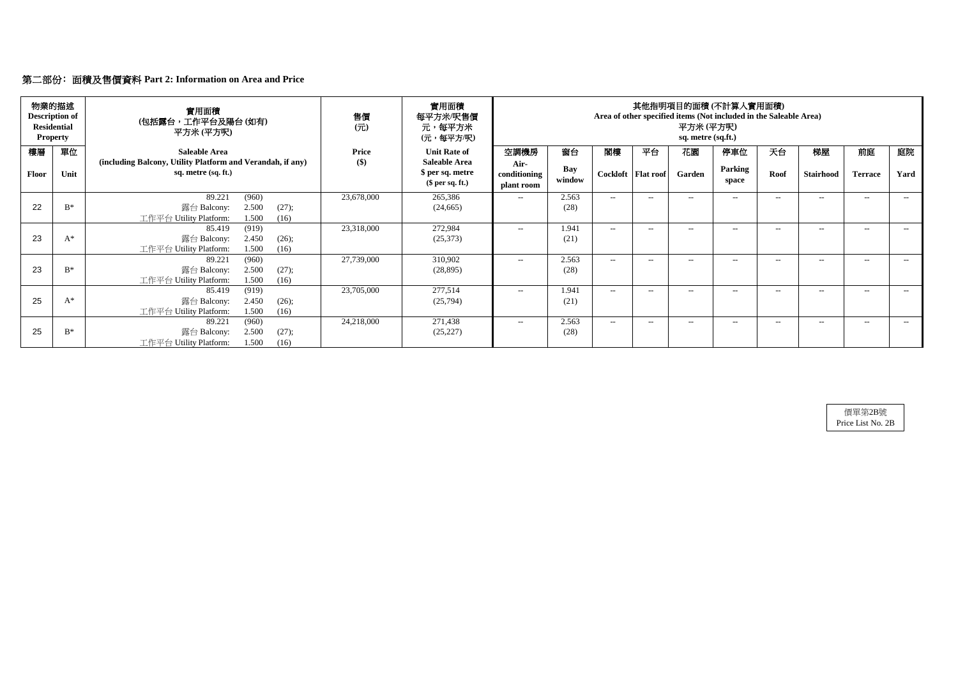|       | 物業的描述<br><b>Description of</b><br><b>Residential</b><br><b>Property</b> | 實用面積<br>(包括露台,工作平台及陽台(如有)<br>平方米 (平方呎)                                                      | 售價<br>$($ $\overrightarrow{\pi}$ $)$ | 實用面積<br>每平方米/呎售價<br>元,每平方米<br>(元,每平方/呎)     |                                    |               |      |                      | 平方米 (平方呎)<br>sq. metre (sq.ft.) | 其他指明項目的面積(不計算入實用面積)<br>Area of other specified items (Not included in the Saleable Area) |       |                  |                |      |
|-------|-------------------------------------------------------------------------|---------------------------------------------------------------------------------------------|--------------------------------------|---------------------------------------------|------------------------------------|---------------|------|----------------------|---------------------------------|------------------------------------------------------------------------------------------|-------|------------------|----------------|------|
| 樓層    | 單位                                                                      | <b>Saleable Area</b><br>(including Balcony, Utility Platform and Verandah, if any)          | <b>Price</b><br>\$)                  | <b>Unit Rate of</b><br><b>Saleable Area</b> | 空調機房                               | 窗台            | 閣樓   | 平台                   | 花園                              | 停車位                                                                                      | 天台    | 梯屋               | 前庭             | 庭院   |
| Floor | Unit                                                                    | sq. metre (sq. ft.)                                                                         |                                      | \$ per sq. metre<br>$$$ per sq. ft.)        | Air-<br>conditioning<br>plant room | Bay<br>window |      | Cockloft   Flat roof | Garden                          | Parking<br>space                                                                         | Roof  | <b>Stairhood</b> | <b>Terrace</b> | Yard |
| 22    | $B^*$                                                                   | 89.221<br>(960)<br>2.500<br>露台 Balcony:<br>(27);                                            | 23,678,000                           | 265,386<br>(24, 665)                        | $--$                               | 2.563<br>(28) | $--$ | $--$                 | $-$                             | $- -$                                                                                    | $--$  | $--$             | $-$            | $--$ |
|       |                                                                         | 工作平台 Utility Platform:<br>1.500<br>(16)                                                     |                                      |                                             |                                    |               |      |                      |                                 |                                                                                          |       |                  |                |      |
| 23    | $A^*$                                                                   | (919)<br>85.419<br>2.450<br>露台 Balcony:<br>(26);<br>工作平台 Utility Platform:<br>1.500<br>(16) | 23,318,000                           | 272,984<br>(25,373)                         | $--$                               | 1.941<br>(21) | $--$ | $---$                | $--$                            | $--$                                                                                     | $-$   | $--$             | $-$            | $--$ |
| 23    | $B^*$                                                                   | (960)<br>89.221<br>2.500<br>露台 Balcony:<br>(27);<br>1.500<br>工作平台 Utility Platform:<br>(16) | 27,739,000                           | 310,902<br>(28, 895)                        | $--$                               | 2.563<br>(28) | $--$ | $--$                 | $--$                            | $- -$                                                                                    | $---$ | $---$            | $-$            | $--$ |
| 25    | $A^*$                                                                   | (919)<br>85.419<br>2.450<br>露台 Balcony:<br>(26);<br>工作平台 Utility Platform:<br>1.500<br>(16) | 23,705,000                           | 277,514<br>(25,794)                         | $---$                              | 1.941<br>(21) | $--$ | $- -$                | $-$                             | $- -$                                                                                    | $-$   | $--$             | $-$            | $--$ |
| 25    | $B^*$                                                                   | (960)<br>89.221<br>2.500<br>露台 Balcony:<br>(27);<br>1.500<br>工作平台 Utility Platform:<br>(16) | 24,218,000                           | 271,438<br>(25, 227)                        | $---$                              | 2.563<br>(28) | $--$ | $--$                 | $-$                             | $- -$                                                                                    | $--$  | $--$             | $--$           | $--$ |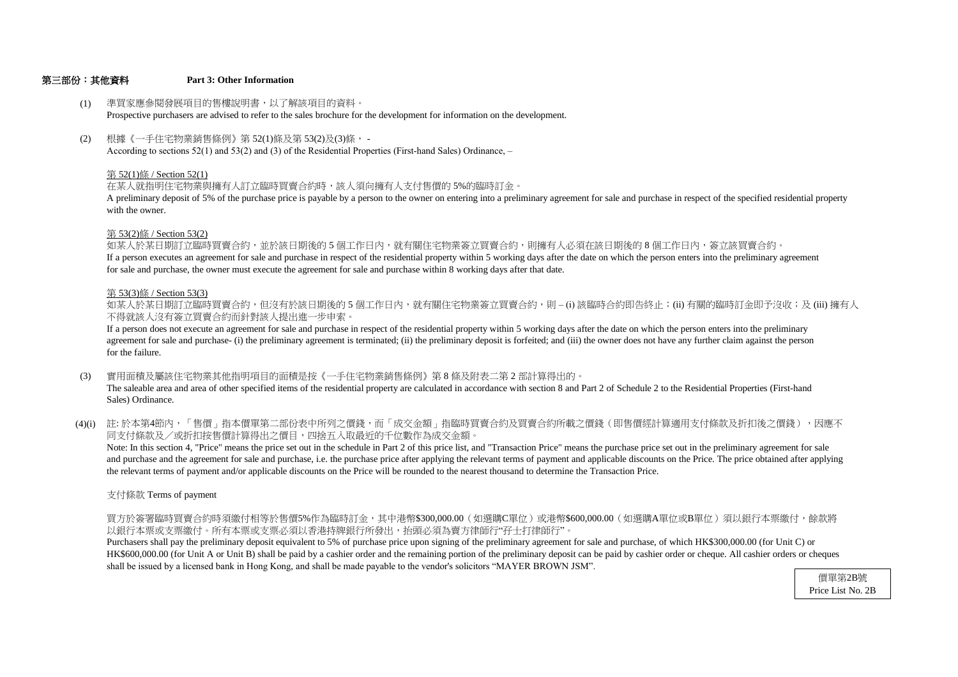#### 第三部份:其他資料 **Part 3: Other Information**

#### 第 53(2)條 / Section 53(2)

- (1) 準買家應參閱發展項目的售樓說明書,以了解該項目的資料。 Prospective purchasers are advised to refer to the sales brochure for the development for information on the development.
- (2) 根據《一手住宅物業銷售條例》第 52(1)條及第 53(2)及(3)條, - According to sections 52(1) and 53(2) and (3) of the Residential Properties (First-hand Sales) Ordinance, –

with the owner. A preliminary deposit of 5% of the purchase price is payable by a person to the owner on entering into a preliminary agreement for sale and purchase in respect of the specified residential property

#### 第 52(1)條 / Section 52(1)

在某人就指明住宅物業與擁有人訂立臨時買賣合約時,該人須向擁有人支付售價的 5%的臨時訂金。

不得就該人沒有簽立買賣合約而針對該人提出進一步申索。 如某人於某日期訂立臨時買賣合約,但沒有於該日期後的 5 個工作日内,就有關住宅物業簽立買賣合約,則 – (i) 該臨時合約即告終止;(ii) 有關的臨時訂金即予沒收;及 (iii) 擁有人

如某人於某日期訂立臨時買賣合約,並於該日期後的 5 個工作日內,就有關住宅物業簽立買賣合約,則擁有人必須在該日期後的 8 個工作日内,簽立該買賣合約。 If a person executes an agreement for sale and purchase in respect of the residential property within 5 working days after the date on which the person enters into the preliminary agreement for sale and purchase, the owner must execute the agreement for sale and purchase within 8 working days after that date.

#### 第 53(3)條 / Section 53(3)

- (3) 實用面積及屬該住宅物業其他指明項目的面積是按《一手住宅物業銷售條例》第 8 條及附表二第 2 部計算得出的。 The saleable area and area of other specified items of the residential property are calculated in accordance with section 8 and Part 2 of Schedule 2 to the Residential Properties (First-hand Sales) Ordinance.
- (4)(i) 註:於本第4節內,「售價」指本價單第二部份表中所列之價錢,而「成交金額」指臨時買賣合約及買賣合約所載之價錢(即售價經計算適用支付條款及折扣後之價錢),因應不 同支付條款及/或折扣按售價計算得出之價目,四捨五入取最近的千位數作為成交金額。

for the failure. agreement for sale and purchase- (i) the preliminary agreement is terminated; (ii) the preliminary deposit is forfeited; and (iii) the owner does not have any further claim against the person If a person does not execute an agreement for sale and purchase in respect of the residential property within 5 working days after the date on which the person enters into the preliminary

the relevant terms of payment and/or applicable discounts on the Price will be rounded to the nearest thousand to determine the Transaction Price. and purchase and the agreement for sale and purchase, i.e. the purchase price after applying the relevant terms of payment and applicable discounts on the Price. The price obtained after applying Note: In this section 4, "Price" means the price set out in the schedule in Part 2 of this price list, and "Transaction Price" means the purchase price set out in the preliminary agreement for sale

支付條款 Terms of payment

以銀行本票或支票繳付。所有本票或支票必須以香港持牌銀行所發出,抬頭必須為賣方律師行"孖士打律師行"。 買方於簽署臨時買賣合約時須繳付相等於售價5%作為臨時訂金,其中港幣\$300,000.00(如選購C單位)或港幣\$600,000.00(如選購A單位或B單位)須以銀行本票繳付,餘款將

shall be issued by a licensed bank in Hong Kong, and shall be made payable to the vendor's solicitors "MAYER BROWN JSM". HK\$600,000.00 (for Unit A or Unit B) shall be paid by a cashier order and the remaining portion of the preliminary deposit can be paid by cashier order or cheque. All cashier orders or cheques Purchasers shall pay the preliminary deposit equivalent to 5% of purchase price upon signing of the preliminary agreement for sale and purchase, of which HK\$300,000.00 (for Unit C) or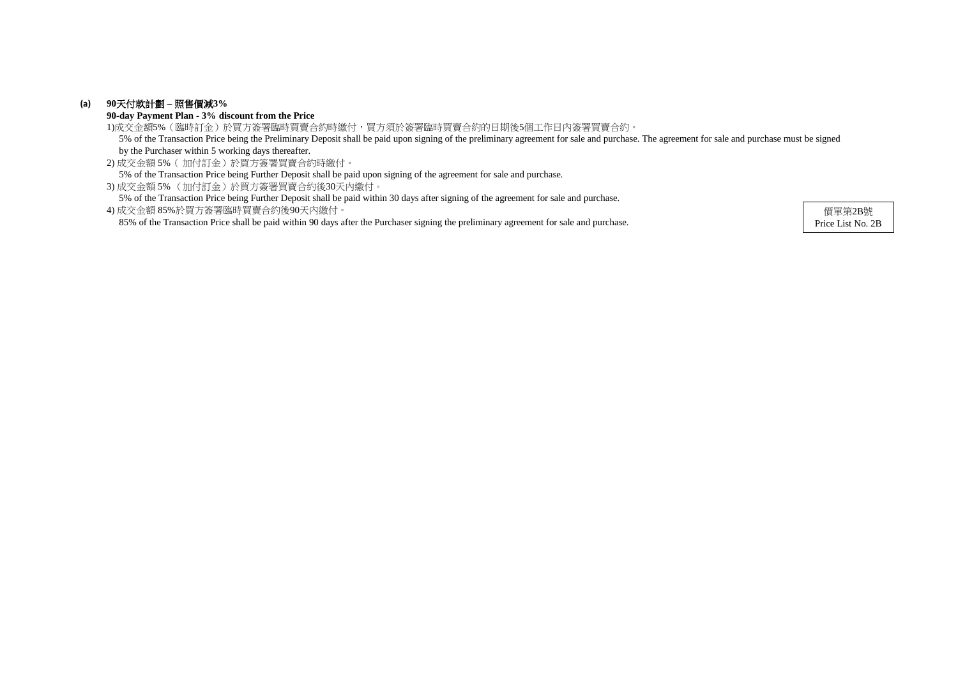### **(a) 90**天付款計劃 **–** 照售價減**3%**

**90-day Payment Plan - 3% discount from the Price**

2) 成交金額 5%( 加付訂金)於買方簽署買賣合約時繳付。 5% of the Transaction Price being Further Deposit shall be paid upon signing of the agreement for sale and purchase.

3) 成交金額 5% (加付訂金)於買方簽署買賣合約後30天內繳付。

5% of the Transaction Price being Further Deposit shall be paid within 30 days after signing of the agreement for sale and purchase.

1)成交金額5%(臨時訂金)於買方簽署臨時買賣合約時繳付,買方須於簽署臨時買賣合約的日期後5個工作日內簽署買賣合約。 5% of the Transaction Price being the Preliminary Deposit shall be paid upon signing of the preliminary agreement for sale and purchase. The agreement for sale and purchase must be signed by the Purchaser within 5 working days thereafter.

4) 成交金額 85%於買方簽署臨時買賣合約後90天內繳付。 85% of the Transaction Price shall be paid within 90 days after the Purchaser signing the preliminary agreement for sale and purchase.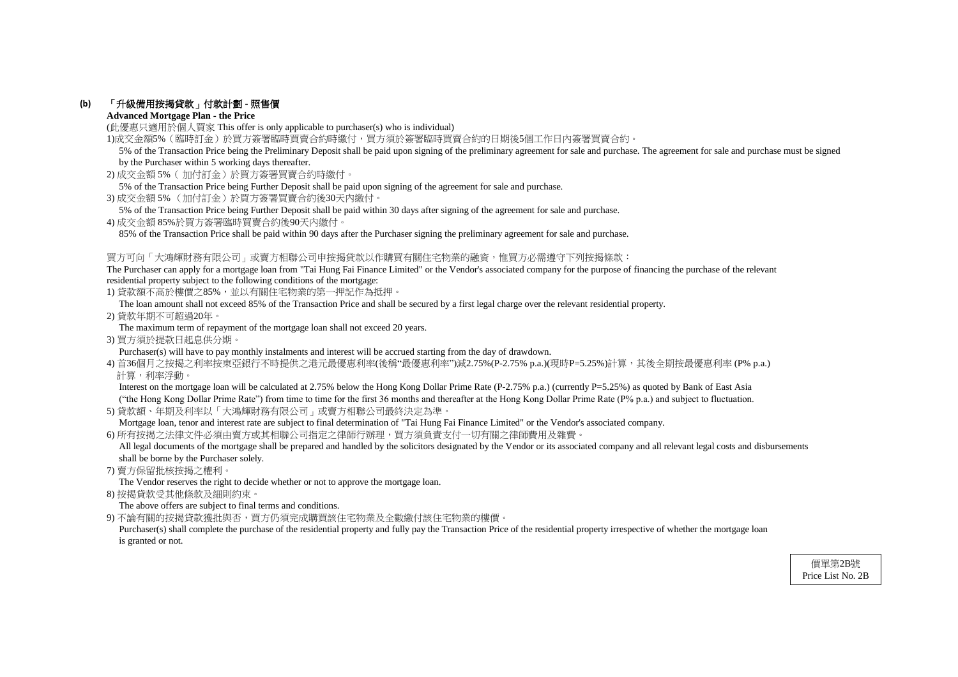### **(b)** 「升級備用按揭貸款」付款計劃 **-** 照售價

#### **Advanced Mortgage Plan - the Price**

(此優惠只適用於個人買家 This offer is only applicable to purchaser(s) who is individual)

1)成交金額5%(臨時訂金)於買方簽署臨時買賣合約時繳付,買方須於簽署臨時買賣合約的日期後5個工作日內簽署買賣合約。

- 2) 成交金額 5%( 加付訂金)於買方簽署買賣合約時繳付。
- 5% of the Transaction Price being Further Deposit shall be paid upon signing of the agreement for sale and purchase.
- 3) 成交金額 5% (加付訂金)於買方簽署買賣合約後30天內繳付。
- 5% of the Transaction Price being Further Deposit shall be paid within 30 days after signing of the agreement for sale and purchase.
- 4) 成交金額 85%於買方簽署臨時買賣合約後90天內繳付。

85% of the Transaction Price shall be paid within 90 days after the Purchaser signing the preliminary agreement for sale and purchase.

#### 買方可向「大鴻輝財務有限公司」或賣方相聯公司申按揭貸款以作購買有關住宅物業的融資,惟買方必需遵守下列按揭條款:

The Purchaser can apply for a mortgage loan from "Tai Hung Fai Finance Limited" or the Vendor's associated company for the purpose of financing the purchase of the relevant residential property subject to the following conditions of the mortgage:

1) 貸款額不高於樓價之85%,並以有關住宅物業的第一押記作為抵押。

Interest on the mortgage loan will be calculated at 2.75% below the Hong Kong Dollar Prime Rate (P-2.75% p.a.) (currently P=5.25%) as quoted by Bank of East Asia ("the Hong Kong Dollar Prime Rate") from time to time for the first 36 months and thereafter at the Hong Kong Dollar Prime Rate (P% p.a.) and subject to fluctuation.

The loan amount shall not exceed 85% of the Transaction Price and shall be secured by a first legal charge over the relevant residential property.

All legal documents of the mortgage shall be prepared and handled by the solicitors designated by the Vendor or its associated company and all relevant legal costs and disbursements shall be borne by the Purchaser solely.

2) 貸款年期不可超過20年。

The maximum term of repayment of the mortgage loan shall not exceed 20 years.

3) 買方須於提款日起息供分期。

Purchaser(s) will have to pay monthly instalments and interest will be accrued starting from the day of drawdown.

4) 首36個月之按揭之利率按東亞銀行不時提供之港元最優惠利率(後稱"最優惠利率")減2.75%(P-2.75% p.a.)(現時P=5.25%)計算,其後全期按最優惠利率 (P% p.a.) 計算,利率浮動。

Purchaser(s) shall complete the purchase of the residential property and fully pay the Transaction Price of the residential property irrespective of whether the mortgage loan is granted or not.

5) 貸款額、年期及利率以「大鴻輝財務有限公司」或賣方相聯公司最終決定為準。

Mortgage loan, tenor and interest rate are subject to final determination of "Tai Hung Fai Finance Limited" or the Vendor's associated company.

6) 所有按揭之法律文件必須由賣方或其相聯公司指定之律師行辦理,買方須負責支付一切有關之律師費用及雜費。

7) 賣方保留批核按揭之權利。

The Vendor reserves the right to decide whether or not to approve the mortgage loan.

8) 按揭貸款受其他條款及細則約束。

The above offers are subject to final terms and conditions.

9) 不論有關的按揭貸款獲批與否,買方仍須完成購買該住宅物業及全數繳付該住宅物業的樓價。

 5% of the Transaction Price being the Preliminary Deposit shall be paid upon signing of the preliminary agreement for sale and purchase. The agreement for sale and purchase must be signed by the Purchaser within 5 working days thereafter.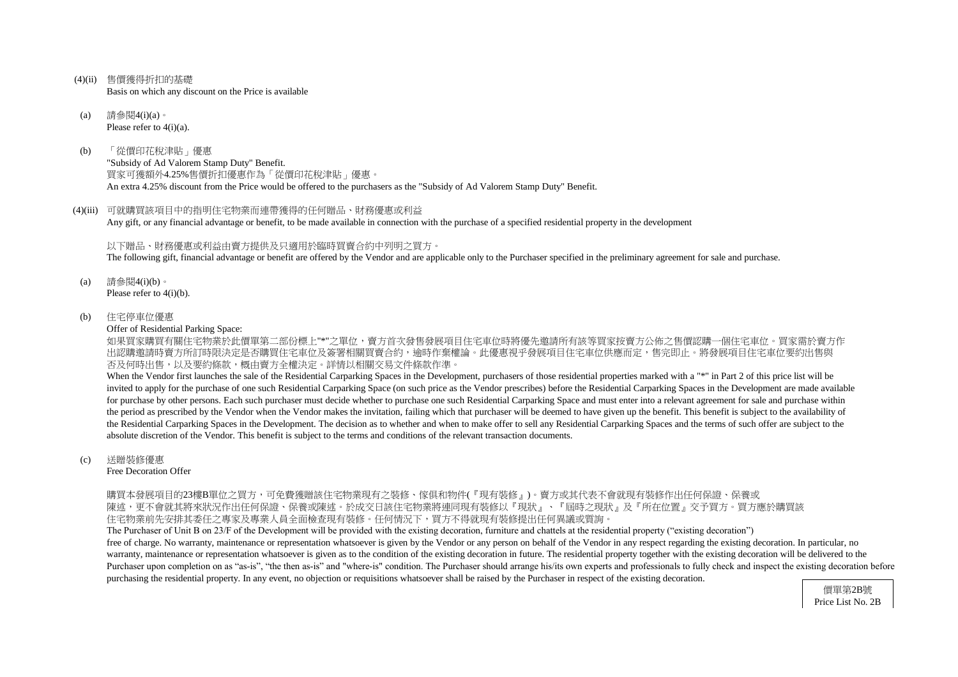- (4)(ii) 售價獲得折扣的基礎 Basis on which any discount on the Price is available
- (a) 請參閱4(i)(a)。 Please refer to  $4(i)(a)$ .
- (b) 「從價印花稅津貼」優惠 "Subsidy of Ad Valorem Stamp Duty" Benefit. 買家可獲額外4.25%售價折扣優惠作為「從價印花稅津貼」優惠。 An extra 4.25% discount from the Price would be offered to the purchasers as the "Subsidy of Ad Valorem Stamp Duty" Benefit.
- (4)(iii) 可就購買該項目中的指明住宅物業而連帶獲得的任何贈品、財務優惠或利益 Any gift, or any financial advantage or benefit, to be made available in connection with the purchase of a specified residential property in the development

如果買家購買有關住宅物業於此價單第二部份標上"\*"之單位,賣方首次發售發展項目住宅車位時將優先邀請所有該等買家按賣方公佈之售價認購一個住宅車位。買家需於賣方作 出認購邀請時賣方所訂時限決定是否購買住宅車位及簽署相關買賣合約,逾時作棄權論。此優惠視乎發展項目住宅車位供應而定,售完即止。將發展項目住宅車位要約出售與 否及何時出售,以及要約條款,概由賣方全權決定。詳情以相關交易文件條款作準。

以下贈品、財務優惠或利益由賣方提供及只適用於臨時買賣合約中列明之買方。 The following gift, financial advantage or benefit are offered by the Vendor and are applicable only to the Purchaser specified in the preliminary agreement for sale and purchase.

- (a) 請參閱4(i)(b)。 Please refer to 4(i)(b).
- (b) 住宅停車位優惠

Offer of Residential Parking Space:

When the Vendor first launches the sale of the Residential Carparking Spaces in the Development, purchasers of those residential properties marked with a "\*" in Part 2 of this price list will be invited to apply for the purchase of one such Residential Carparking Space (on such price as the Vendor prescribes) before the Residential Carparking Spaces in the Development are made available for purchase by other persons. Each such purchaser must decide whether to purchase one such Residential Carparking Space and must enter into a relevant agreement for sale and purchase within the period as prescribed by the Vendor when the Vendor makes the invitation, failing which that purchaser will be deemed to have given up the benefit. This benefit is subject to the availability of the Residential Carparking Spaces in the Development. The decision as to whether and when to make offer to sell any Residential Carparking Spaces and the terms of such offer are subject to the absolute discretion of the Vendor. This benefit is subject to the terms and conditions of the relevant transaction documents.

#### (c) 送贈裝修優惠

Free Decoration Offer

購買本發展項目的23樓B單位之買方,可免費獲贈該住宅物業現有之裝修、傢俱和物件(『現有裝修』)。賣方或其代表不會就現有裝修作出任何保證、保養或 陳述,更不會就其將來狀況作出任何保證、保養或陳述。於成交日該住宅物業將連同現有裝修以『現狀』、『屆時之現狀』及『所在位置』交予買方。買方應於購買該 住宅物業前先安排其委任之專家及專業人員全面檢查現有裝修。任何情況下,買方不得就現有裝修提出任何異議或質詢

The Purchaser of Unit B on 23/F of the Development will be provided with the existing decoration, furniture and chattels at the residential property ("existing decoration") free of charge. No warranty, maintenance or representation whatsoever is given by the Vendor or any person on behalf of the Vendor in any respect regarding the existing decoration. In particular, no warranty, maintenance or representation whatsoever is given as to the condition of the existing decoration in future. The residential property together with the existing decoration will be delivered to the Purchaser upon completion on as "as-is", "the then as-is" and "where-is" condition. The Purchaser should arrange his/its own experts and professionals to fully check and inspect the existing decoration before purchasing the residential property. In any event, no objection or requisitions whatsoever shall be raised by the Purchaser in respect of the existing decoration.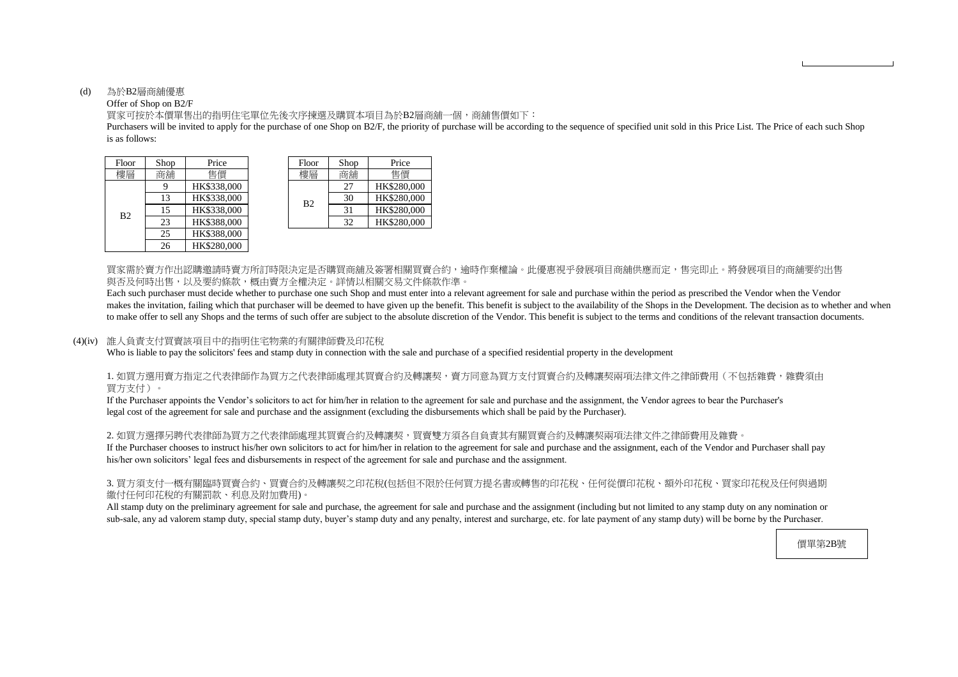#### (d) 為於B2層商舖優惠

#### Offer of Shop on B2/F

is as follows: Purchasers will be invited to apply for the purchase of one Shop on B2/F, the priority of purchase will be according to the sequence of specified unit sold in this Price List. The Price of each such Shop

買家可按於本價單售出的指明住宅單位先後次序揀選及購買本項目為於B2層商舖一個,商舖售價如下:

買家需於賣方作出認購邀請時賣方所訂時限決定是否購買商舖及簽署相關買賣合約,逾時作棄權論。此優惠視乎發展項目商舖供應而定,售完即止。將發展項目的商舖要約出售 與否及何時出售,以及要約條款,概由賣方全權決定。詳情以相關交易文件條款作準。

Each such purchaser must decide whether to purchase one such Shop and must enter into a relevant agreement for sale and purchase within the period as prescribed the Vendor when the Vendor makes the invitation, failing which that purchaser will be deemed to have given up the benefit. This benefit is subject to the availability of the Shops in the Development. The decision as to whether and when to make offer to sell any Shops and the terms of such offer are subject to the absolute discretion of the Vendor. This benefit is subject to the terms and conditions of the relevant transaction documents.

#### 1. 如買方選用賣方指定之代表律師作為買方之代表律師處理其買賣合約及轉讓契,賣方同意為買方支付買賣合約及轉讓契兩項法律文件之律師費用(不包括雜費,雜費須由 買方支付)。

2. 如買方選擇另聘代表律師為買方之代表律師處理其買賣合約及轉讓契,買賣雙方須各自負責其有關買賣合約及轉讓契兩項法律文件之律師費用及雜費。 If the Purchaser chooses to instruct his/her own solicitors to act for him/her in relation to the agreement for sale and purchase and the assignment, each of the Vendor and Purchaser shall pay his/her own solicitors' legal fees and disbursements in respect of the agreement for sale and purchase and the assignment.

#### (4)(iv) 誰人負責支付買賣該項目中的指明住宅物業的有關律師費及印花稅

Who is liable to pay the solicitors' fees and stamp duty in connection with the sale and purchase of a specified residential property in the development

| Floor          | Shop | Price       |  | Floor          | Shop | Price    |
|----------------|------|-------------|--|----------------|------|----------|
| 樓層             | 商舖   | 售價          |  | 樓層             | 商鋪   | 售價       |
| B <sub>2</sub> | 9    | HK\$338,000 |  |                | 27   | HK\$280, |
|                | 13   | HK\$338,000 |  | B <sub>2</sub> | 30   | HK\$280, |
|                | 15   | HK\$338,000 |  |                | 31   | HK\$280, |
|                | 23   | HK\$388,000 |  |                | 32   | HK\$280, |
|                | 25   | HK\$388,000 |  |                |      |          |
|                | 26   | HK\$280,000 |  |                |      |          |

| hop | Price       | Floor          | Shop | Price       |
|-----|-------------|----------------|------|-------------|
| 鋪铺  | 售價          | 樓層             | 商鋪   | 售價          |
| 9   | HK\$338,000 |                | 27   | HK\$280,000 |
| 13  | HK\$338,000 | B <sub>2</sub> | 30   | HK\$280,000 |
| 15  | HK\$338,000 |                | 31   | HK\$280,000 |
| 23  | HK\$388,000 |                | 32   | HK\$280,000 |

If the Purchaser appoints the Vendor's solicitors to act for him/her in relation to the agreement for sale and purchase and the assignment, the Vendor agrees to bear the Purchaser's legal cost of the agreement for sale and purchase and the assignment (excluding the disbursements which shall be paid by the Purchaser).

#### 3. 買方須支付一概有關臨時買賣合約、買賣合約及轉讓契之印花稅(包括但不限於任何買方提名書或轉售的印花稅、任何從價印花稅、額外印花稅、買家印花稅及任何與過期 繳付任何印花稅的有關罰款、利息及附加費用)。

All stamp duty on the preliminary agreement for sale and purchase, the agreement for sale and purchase and the assignment (including but not limited to any stamp duty on any nomination or sub-sale, any ad valorem stamp duty, special stamp duty, buyer's stamp duty and any penalty, interest and surcharge, etc. for late payment of any stamp duty) will be borne by the Purchaser.

價單第2B號